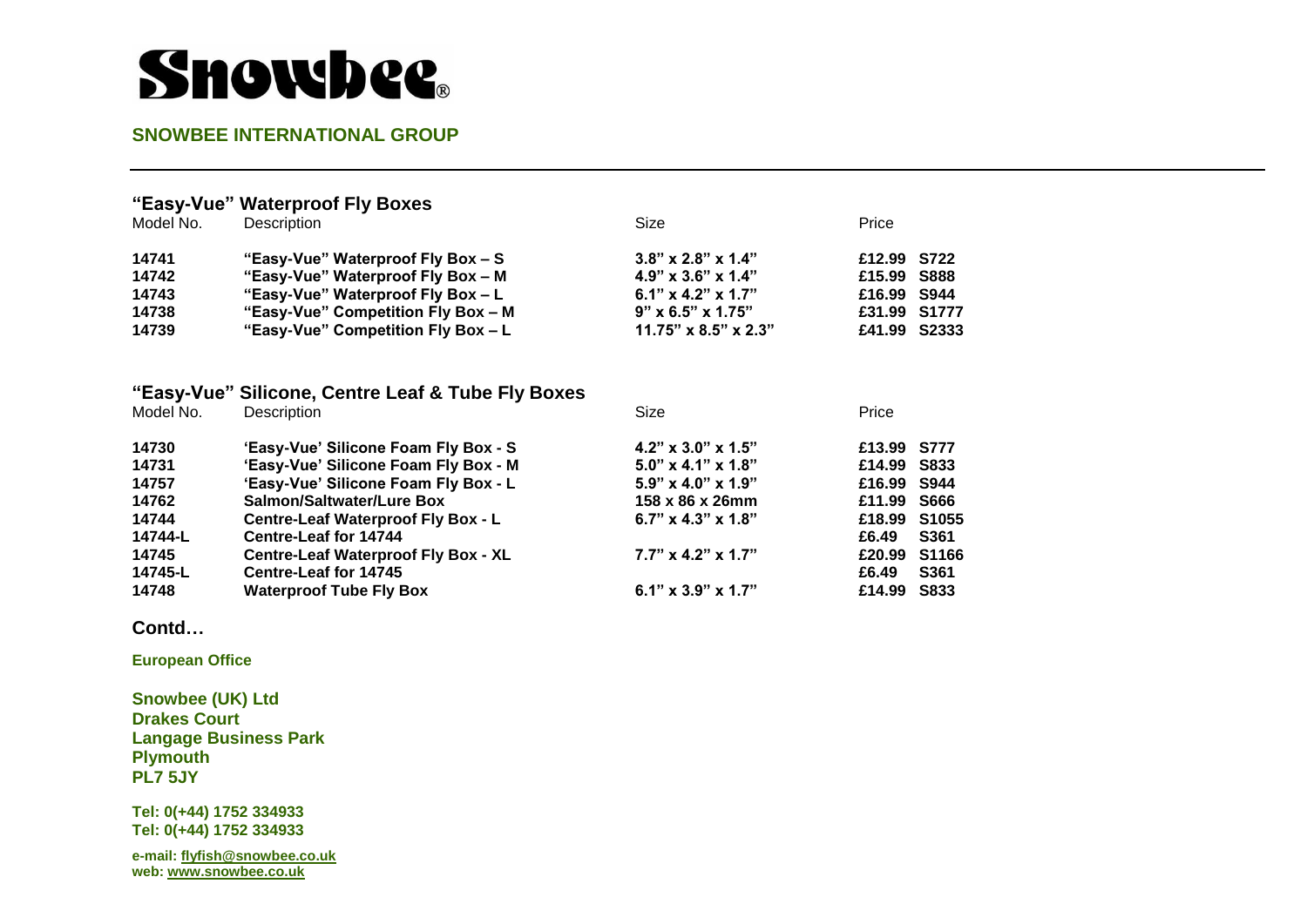# **Showbee**.

### **SNOWBEE INTERNATIONAL GROUP**

### **"Easy-Vue" Waterproof Fly Boxes**

| Model No. | Description                        | Size                             | Price        |  |
|-----------|------------------------------------|----------------------------------|--------------|--|
| 14741     | "Easy-Vue" Waterproof Fly Box - S  | $3.8" \times 2.8" \times 1.4"$   | £12.99 S722  |  |
| 14742     | "Easy-Vue" Waterproof Fly Box - M  | $4.9$ " x $3.6$ " x $1.4$ "      | £15.99 S888  |  |
| 14743     | "Easy-Vue" Waterproof Fly Box - L  | 6.1" $\times$ 4.2" $\times$ 1.7" | £16.99 S944  |  |
| 14738     | "Easy-Vue" Competition Fly Box - M | $9" \times 6.5" \times 1.75"$    | £31.99 S1777 |  |
| 14739     | "Easy-Vue" Competition Fly Box - L | $11.75" \times 8.5" \times 2.3"$ | £41.99 S2333 |  |

### **"Easy-Vue" Silicone, Centre Leaf & Tube Fly Boxes**

| Model No. | Description                                | Size                             | Price        |             |
|-----------|--------------------------------------------|----------------------------------|--------------|-------------|
| 14730     | 'Easy-Vue' Silicone Foam Fly Box - S       | $4.2$ " x 3.0" x 1.5"            | £13.99 S777  |             |
| 14731     | 'Easy-Vue' Silicone Foam Fly Box - M       | $5.0$ " x 4.1" x 1.8"            | £14.99 S833  |             |
| 14757     | 'Easy-Vue' Silicone Foam Fly Box - L       | $5.9" \times 4.0" \times 1.9"$   | £16.99 S944  |             |
| 14762     | <b>Salmon/Saltwater/Lure Box</b>           | 158 x 86 x 26mm                  | £11.99 S666  |             |
| 14744     | <b>Centre-Leaf Waterproof Fly Box - L</b>  | 6.7" $\times$ 4.3" $\times$ 1.8" | £18.99 S1055 |             |
| 14744-L   | Centre-Leaf for 14744                      |                                  | £6.49        | <b>S361</b> |
| 14745     | <b>Centre-Leaf Waterproof Fly Box - XL</b> | $7.7" \times 4.2" \times 1.7"$   | £20.99 S1166 |             |
| 14745-L   | <b>Centre-Leaf for 14745</b>               |                                  | £6.49        | <b>S361</b> |
| 14748     | <b>Waterproof Tube Fly Box</b>             | $6.1" \times 3.9" \times 1.7"$   | £14.99       | S833        |

#### **Contd…**

**European Office** 

**Snowbee (UK) Ltd Drakes Court Langage Business Park Plymouth PL7 5JY** 

**Tel: 0(+44) 1752 334933 Tel: 0(+44) 1752 334933** 

**e-mail[: flyfish@snowbee.co.uk](mailto:flyfish@snowbee.co.uk)  web: [www.snowbee.co.uk](http://www.snowbee.co.uk/)**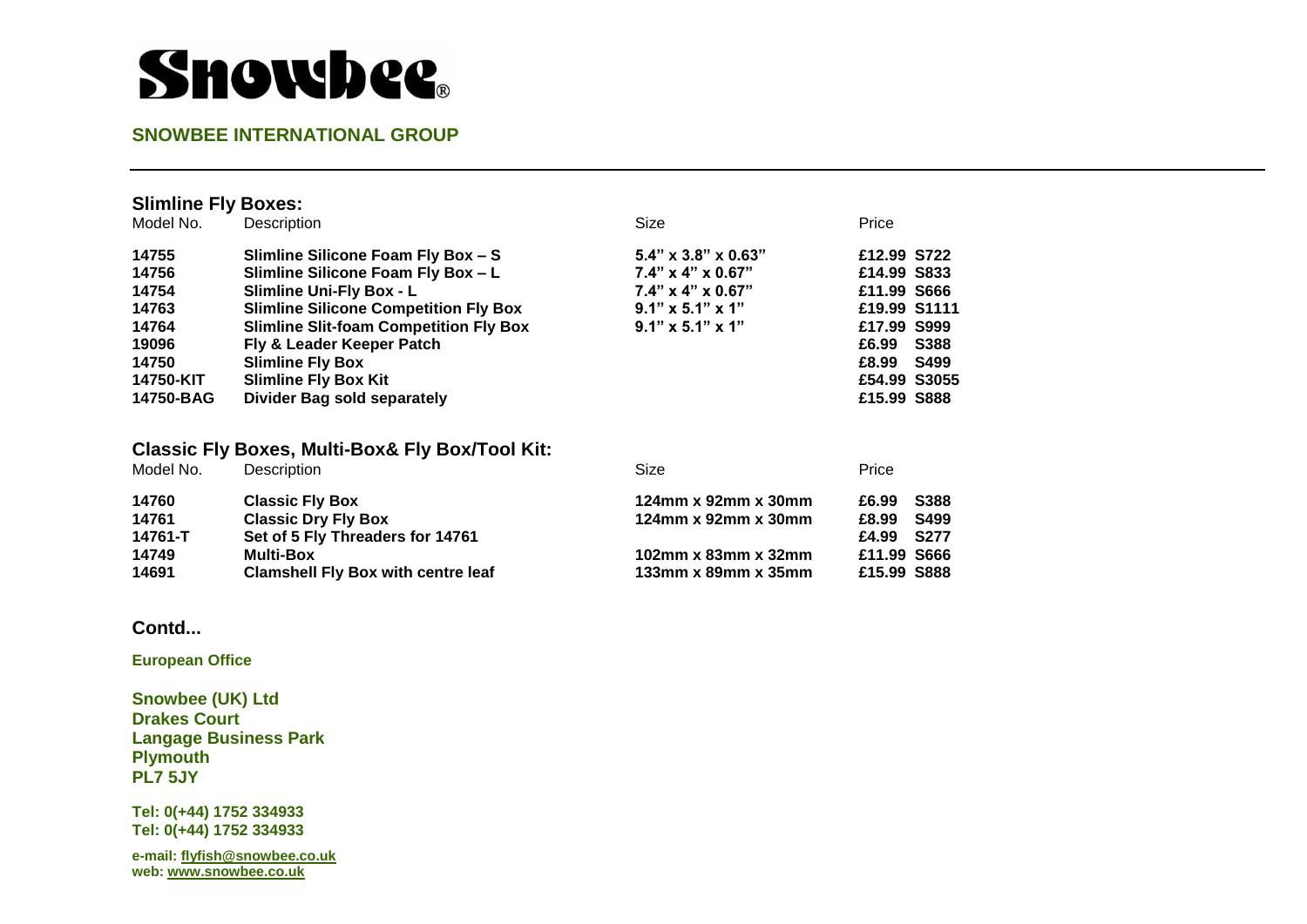# **Showbee**.

#### **SNOWBEE INTERNATIONAL GROUP**

| <b>Slimline Fly Boxes:</b>                    |                               |                      |
|-----------------------------------------------|-------------------------------|----------------------|
| Description                                   | Size                          | Price                |
| Slimline Silicone Foam Fly Box - S            | $5.4"$ x 3.8" x 0.63"         | £12.99 S722          |
| Slimline Silicone Foam Fly Box - L            | $7.4" \times 4" \times 0.67"$ | £14.99 S833          |
| <b>Slimline Uni-Fly Box - L</b>               | $7.4" \times 4" \times 0.67"$ | £11.99 S666          |
| <b>Slimline Silicone Competition Fly Box</b>  | $9.1" \times 5.1" \times 1"$  | £19.99 S1111         |
| <b>Slimline Slit-foam Competition Fly Box</b> | $9.1" \times 5.1" \times 1"$  | £17.99 S999          |
| Fly & Leader Keeper Patch                     |                               | £6.99<br><b>S388</b> |
| <b>Slimline Fly Box</b>                       |                               | <b>S499</b><br>£8.99 |
| <b>Slimline Fly Box Kit</b>                   |                               | £54.99 S3055         |
| <b>Divider Bag sold separately</b>            |                               | £15.99 S888          |
|                                               |                               |                      |

#### **Classic Fly Boxes, Multi-Box& Fly Box/Tool Kit:**

| Description                               | Size                                   | Price                |
|-------------------------------------------|----------------------------------------|----------------------|
| <b>Classic Fly Box</b>                    | 124 $mm \times 92mm \times 30mm$       | <b>S388</b><br>£6.99 |
| <b>Classic Dry Fly Box</b>                | 124mm x 92mm x 30mm                    | S499<br>£8.99        |
| Set of 5 Fly Threaders for 14761          |                                        | <b>S277</b><br>£4.99 |
| <b>Multi-Box</b>                          | 102mm $x$ 83mm $x$ 32mm                | £11.99 S666          |
| <b>Clamshell Fly Box with centre leaf</b> | 133 $mm \times$ 89 $mm \times$ 35 $mm$ | £15.99 S888          |
|                                           |                                        |                      |

#### **Contd...**

**European Office** 

**Snowbee (UK) Ltd Drakes Court Langage Business Park Plymouth PL7 5JY** 

**Tel: 0(+44) 1752 334933 Tel: 0(+44) 1752 334933** 

**e-mail[: flyfish@snowbee.co.uk](mailto:flyfish@snowbee.co.uk)  web: [www.snowbee.co.uk](http://www.snowbee.co.uk/)**